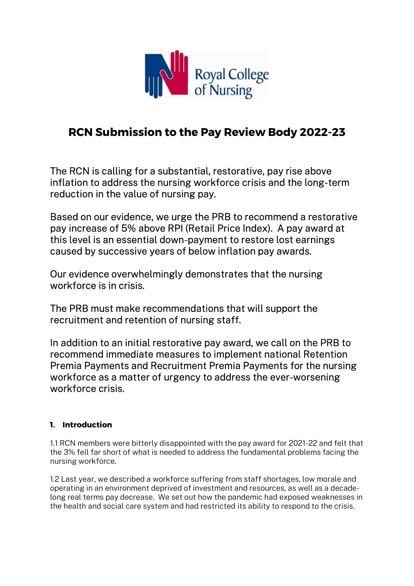

# RCN Submission to the Pay Review Body 2022-23

The RCN is calling for a substantial, restorative, pay rise above inflation to address the nursing workforce crisis and the long-term reduction in the value of nursing pay.

Based on our evidence, we urge the PRB to recommend a restorative pay increase of 5% above RPI (Retail Price Index). A pay award at this level is an essential down-payment to restore lost earnings caused by successive years of below inflation pay awards.

Our evidence overwhelmingly demonstrates that the nursing workforce is in crisis.

The PRB must make recommendations that will support the recruitment and retention of nursing staff.

In addition to an initial restorative pay award, we call on the PRB to recommend immediate measures to implement national Retention Premia Payments and Recruitment Premia Payments for the nursing workforce as a matter of urgency to address the ever-worsening workforce crisis.

# 1. Introduction

1.1 RCN members were bitterly disappointed with the pay award for 2021-22 and felt that the 3% fell far short of what is needed to address the fundamental problems facing the nursing workforce.

1.2 Last year, we described a workforce suffering from staff shortages, low morale and operating in an environment deprived of investment and resources, as well as a decadelong real terms pay decrease. We set out how the pandemic had exposed weaknesses in the health and social care system and had restricted its ability to respond to the crisis.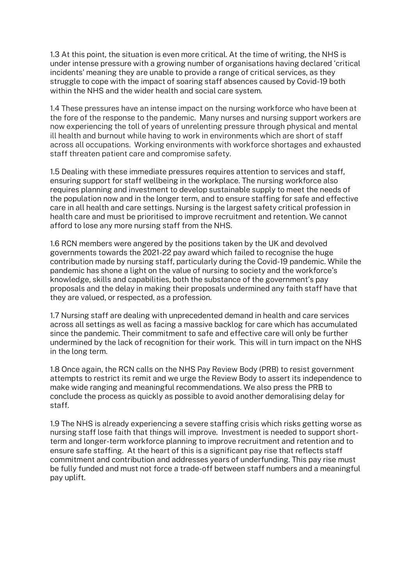1.3 At this point, the situation is even more critical. At the time of writing, the NHS is under intense pressure with a growing number of organisations having declared 'critical incidents' meaning they are unable to provide a range of critical services, as they struggle to cope with the impact of soaring staff absences caused by Covid-19 both within the NHS and the wider health and social care system.

1.4 These pressures have an intense impact on the nursing workforce who have been at the fore of the response to the pandemic. Many nurses and nursing support workers are now experiencing the toll of years of unrelenting pressure through physical and mental ill health and burnout while having to work in environments which are short of staff across all occupations. Working environments with workforce shortages and exhausted staff threaten patient care and compromise safety.

1.5 Dealing with these immediate pressures requires attention to services and staff, ensuring support for staff wellbeing in the workplace. The nursing workforce also requires planning and investment to develop sustainable supply to meet the needs of the population now and in the longer term, and to ensure staffing for safe and effective care in all health and care settings. Nursing is the largest safety critical profession in health care and must be prioritised to improve recruitment and retention. We cannot afford to lose any more nursing staff from the NHS.

1.6 RCN members were angered by the positions taken by the UK and devolved governments towards the 2021-22 pay award which failed to recognise the huge contribution made by nursing staff, particularly during the Covid-19 pandemic. While the pandemic has shone a light on the value of nursing to society and the workforce's knowledge, skills and capabilities, both the substance of the government's pay proposals and the delay in making their proposals undermined any faith staff have that they are valued, or respected, as a profession.

1.7 Nursing staff are dealing with unprecedented demand in health and care services across all settings as well as facing a massive backlog for care which has accumulated since the pandemic. Their commitment to safe and effective care will only be further undermined by the lack of recognition for their work. This will in turn impact on the NHS in the long term.

1.8 Once again, the RCN calls on the NHS Pay Review Body (PRB) to resist government attempts to restrict its remit and we urge the Review Body to assert its independence to make wide ranging and meaningful recommendations. We also press the PRB to conclude the process as quickly as possible to avoid another demoralising delay for staff.

1.9 The NHS is already experiencing a severe staffing crisis which risks getting worse as nursing staff lose faith that things will improve. Investment is needed to support shortterm and longer-term workforce planning to improve recruitment and retention and to ensure safe staffing. At the heart of this is a significant pay rise that reflects staff commitment and contribution and addresses years of underfunding. This pay rise must be fully funded and must not force a trade-off between staff numbers and a meaningful pay uplift.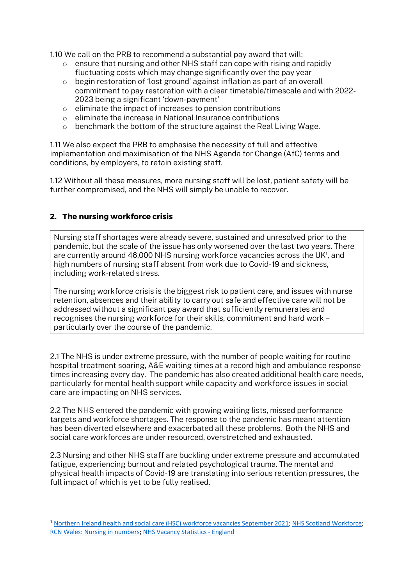1.10 We call on the PRB to recommend a substantial pay award that will:

- o ensure that nursing and other NHS staff can cope with rising and rapidly fluctuating costs which may change significantly over the pay year
- $\circ$  begin restoration of 'lost ground' against inflation as part of an overall commitment to pay restoration with a clear timetable/timescale and with 2022- 2023 being a significant 'down-payment'
- o eliminate the impact of increases to pension contributions
- o eliminate the increase in National Insurance contributions
- o benchmark the bottom of the structure against the Real Living Wage.

1.11 We also expect the PRB to emphasise the necessity of full and effective implementation and maximisation of the NHS Agenda for Change (AfC) terms and conditions, by employers, to retain existing staff.

1.12 Without all these measures, more nursing staff will be lost, patient safety will be further compromised, and the NHS will simply be unable to recover.

### 2. The nursing workforce crisis

Nursing staff shortages were already severe, sustained and unresolved prior to the pandemic, but the scale of the issue has only worsened over the last two years. There are currently around 46,000 NHS nursing workforce vacancies across the UK<sup>1</sup>, and high numbers of nursing staff absent from work due to Covid-19 and sickness, including work-related stress.

The nursing workforce crisis is the biggest risk to patient care, and issues with nurse retention, absences and their ability to carry out safe and effective care will not be addressed without a significant pay award that sufficiently remunerates and recognises the nursing workforce for their skills, commitment and hard work – particularly over the course of the pandemic.

2.1 The NHS is under extreme pressure, with the number of people waiting for routine hospital treatment soaring, A&E waiting times at a record high and ambulance response times increasing every day. The pandemic has also created additional health care needs, particularly for mental health support while capacity and workforce issues in social care are impacting on NHS services.

2.2 The NHS entered the pandemic with growing waiting lists, missed performance targets and workforce shortages. The response to the pandemic has meant attention has been diverted elsewhere and exacerbated all these problems. Both the NHS and social care workforces are under resourced, overstretched and exhausted.

2.3 Nursing and other NHS staff are buckling under extreme pressure and accumulated fatigue, experiencing burnout and related psychological trauma. The mental and physical health impacts of Covid-19 are translating into serious retention pressures, the full impact of which is yet to be fully realised.

<sup>&</sup>lt;sup>1</sup> Northern Ireland health and social care (HSC) workforce vacancies September 2021; NHS Scotland Workforce; RCN Wales: Nursing in numbers; NHS Vacancy Statistics - England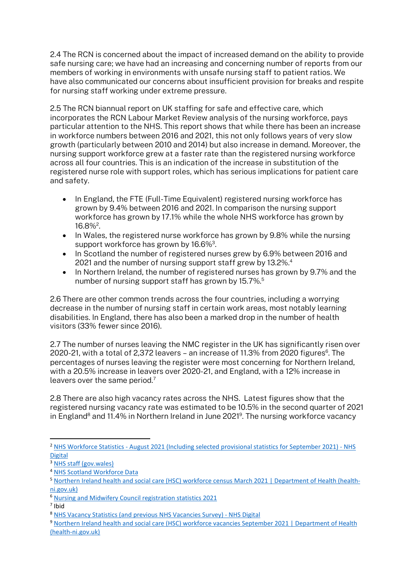2.4 The RCN is concerned about the impact of increased demand on the ability to provide safe nursing care; we have had an increasing and concerning number of reports from our members of working in environments with unsafe nursing staff to patient ratios. We have also communicated our concerns about insufficient provision for breaks and respite for nursing staff working under extreme pressure.

2.5 The RCN biannual report on UK staffing for safe and effective care, which incorporates the RCN Labour Market Review analysis of the nursing workforce, pays particular attention to the NHS. This report shows that while there has been an increase in workforce numbers between 2016 and 2021, this not only follows years of very slow growth (particularly between 2010 and 2014) but also increase in demand. Moreover, the nursing support workforce grew at a faster rate than the registered nursing workforce across all four countries. This is an indication of the increase in substitution of the registered nurse role with support roles, which has serious implications for patient care and safety.

- In England, the FTE (Full-Time Equivalent) registered nursing workforce has grown by 9.4% between 2016 and 2021. In comparison the nursing support workforce has grown by 17.1% while the whole NHS workforce has grown by  $16.8\%$ <sup>2</sup>.
- $\bullet$  In Wales, the registered nurse workforce has grown by 9.8% while the nursing support workforce has grown by 16.6%<sup>3</sup>.
- In Scotland the number of registered nurses grew by 6.9% between 2016 and 2021 and the number of nursing support staff grew by 13.2%.<sup>4</sup>
- In Northern Ireland, the number of registered nurses has grown by 9.7% and the number of nursing support staff has grown by 15.7%.<sup>5</sup>

2.6 There are other common trends across the four countries, including a worrying decrease in the number of nursing staff in certain work areas, most notably learning disabilities. In England, there has also been a marked drop in the number of health visitors (33% fewer since 2016).

2.7 The number of nurses leaving the NMC register in the UK has significantly risen over 2020-21, with a total of 2,372 leavers – an increase of 11.3% from 2020 figures $^6$ . The percentages of nurses leaving the register were most concerning for Northern Ireland, with a 20.5% increase in leavers over 2020-21, and England, with a 12% increase in leavers over the same period. $7$ 

2.8 There are also high vacancy rates across the NHS. Latest figures show that the registered nursing vacancy rate was estimated to be 10.5% in the second quarter of 2021 in England<sup>8</sup> and 11.4% in Northern Ireland in June 2021<sup>9</sup>. The nursing workforce vacancy

<sup>&</sup>lt;sup>2</sup> NHS Workforce Statistics - August 2021 (Including selected provisional statistics for September 2021) - NHS Digital

<sup>3</sup> NHS staff (gov.wales)

<sup>4</sup> NHS Scotland Workforce Data

<sup>5</sup> Northern Ireland health and social care (HSC) workforce census March 2021 | Department of Health (healthni.gov.uk)

<sup>6</sup> Nursing and Midwifery Council registration statistics 2021

<sup>7</sup> Ibid

<sup>8</sup> NHS Vacancy Statistics (and previous NHS Vacancies Survey) - NHS Digital

<sup>9</sup> Northern Ireland health and social care (HSC) workforce vacancies September 2021 | Department of Health (health-ni.gov.uk)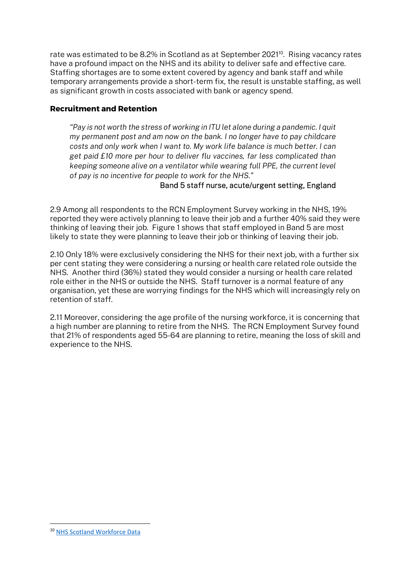rate was estimated to be 8.2% in Scotland as at September 2021<sup>10</sup>. Rising vacancy rates have a profound impact on the NHS and its ability to deliver safe and effective care. Staffing shortages are to some extent covered by agency and bank staff and while temporary arrangements provide a short-term fix, the result is unstable staffing, as well as significant growth in costs associated with bank or agency spend.

## Recruitment and Retention

"Pay is not worth the stress of working in ITU let alone during a pandemic. I quit my permanent post and am now on the bank. I no longer have to pay childcare costs and only work when I want to. My work life balance is much better. I can get paid £10 more per hour to deliver flu vaccines, far less complicated than keeping someone alive on a ventilator while wearing full PPE, the current level of pay is no incentive for people to work for the NHS."

# Band 5 staff nurse, acute/urgent setting, England

2.9 Among all respondents to the RCN Employment Survey working in the NHS, 19% reported they were actively planning to leave their job and a further 40% said they were thinking of leaving their job. Figure 1 shows that staff employed in Band 5 are most likely to state they were planning to leave their job or thinking of leaving their job.

2.10 Only 18% were exclusively considering the NHS for their next job, with a further six per cent stating they were considering a nursing or health care related role outside the NHS. Another third (36%) stated they would consider a nursing or health care related role either in the NHS or outside the NHS. Staff turnover is a normal feature of any organisation, yet these are worrying findings for the NHS which will increasingly rely on retention of staff.

2.11 Moreover, considering the age profile of the nursing workforce, it is concerning that a high number are planning to retire from the NHS. The RCN Employment Survey found that 21% of respondents aged 55-64 are planning to retire, meaning the loss of skill and experience to the NHS.

<sup>10</sup> NHS Scotland Workforce Data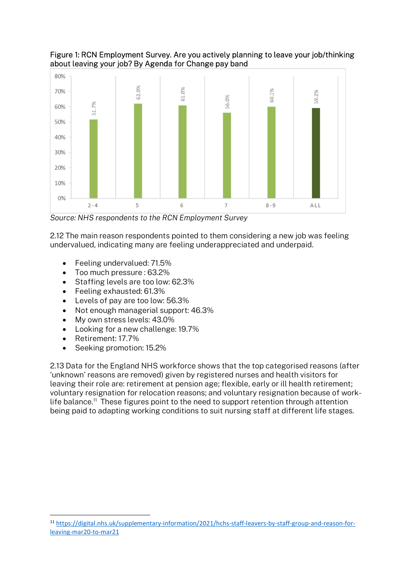



Source: NHS respondents to the RCN Employment Survey

2.12 The main reason respondents pointed to them considering a new job was feeling undervalued, indicating many are feeling underappreciated and underpaid.

- Feeling undervalued: 71.5%
- Too much pressure : 63.2%
- Staffing levels are too low: 62.3%
- Feeling exhausted: 61.3%
- Levels of pay are too low: 56.3%
- Not enough managerial support: 46.3%
- My own stress levels: 43.0%
- Looking for a new challenge: 19.7%
- Retirement: 17.7%
- Seeking promotion: 15.2%

2.13 Data for the England NHS workforce shows that the top categorised reasons (after 'unknown' reasons are removed) given by registered nurses and health visitors for leaving their role are: retirement at pension age; flexible, early or ill health retirement; voluntary resignation for relocation reasons; and voluntary resignation because of worklife balance.<sup>11</sup> These figures point to the need to support retention through attention being paid to adapting working conditions to suit nursing staff at different life stages.

<sup>11</sup> https://digital.nhs.uk/supplementary-information/2021/hchs-staff-leavers-by-staff-group-and-reason-forleaving-mar20-to-mar21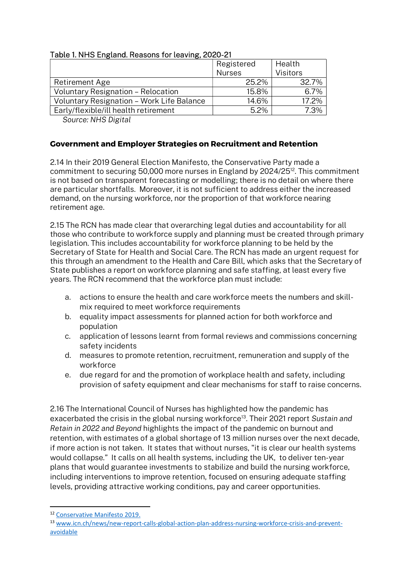|                                           | Registered    | Health          |
|-------------------------------------------|---------------|-----------------|
|                                           | <b>Nurses</b> | <b>Visitors</b> |
| Retirement Age                            | 25.2%         | 32.7%           |
| Voluntary Resignation - Relocation        | 15.8%         | 6.7%            |
| Voluntary Resignation - Work Life Balance | 14.6%         | 17.2%           |
| Early/flexible/ill health retirement      | 5.2%          | 7.3%            |

# Table 1. NHS England. Reasons for leaving, 2020-21

Source: NHS Digital

### Government and Employer Strategies on Recruitment and Retention

2.14 In their 2019 General Election Manifesto, the Conservative Party made a commitment to securing 50,000 more nurses in England by 2024/25<sup>12</sup>. This commitment is not based on transparent forecasting or modelling; there is no detail on where there are particular shortfalls. Moreover, it is not sufficient to address either the increased demand, on the nursing workforce, nor the proportion of that workforce nearing retirement age.

2.15 The RCN has made clear that overarching legal duties and accountability for all those who contribute to workforce supply and planning must be created through primary legislation. This includes accountability for workforce planning to be held by the Secretary of State for Health and Social Care. The RCN has made an urgent request for this through an amendment to the Health and Care Bill, which asks that the Secretary of State publishes a report on workforce planning and safe staffing, at least every five years. The RCN recommend that the workforce plan must include:

- a. actions to ensure the health and care workforce meets the numbers and skillmix required to meet workforce requirements
- b. equality impact assessments for planned action for both workforce and population
- c. application of lessons learnt from formal reviews and commissions concerning safety incidents
- d. measures to promote retention, recruitment, remuneration and supply of the workforce
- e. due regard for and the promotion of workplace health and safety, including provision of safety equipment and clear mechanisms for staff to raise concerns.

2.16 The International Council of Nurses has highlighted how the pandemic has exacerbated the crisis in the global nursing workforce<sup>13</sup>. Their 2021 report Sustain and Retain in 2022 and Beyond highlights the impact of the pandemic on burnout and retention, with estimates of a global shortage of 13 million nurses over the next decade, if more action is not taken. It states that without nurses, "it is clear our health systems would collapse." It calls on all health systems, including the UK, to deliver ten-year plans that would guarantee investments to stabilize and build the nursing workforce, including interventions to improve retention, focused on ensuring adequate staffing levels, providing attractive working conditions, pay and career opportunities.

<sup>12</sup> Conservative Manifesto 2019.

<sup>13</sup> www.icn.ch/news/new-report-calls-global-action-plan-address-nursing-workforce-crisis-and-preventavoidable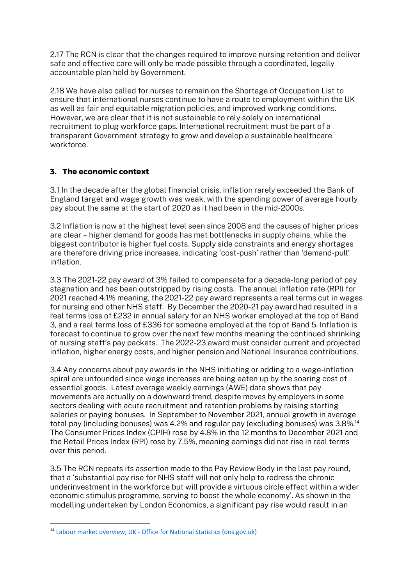2.17 The RCN is clear that the changes required to improve nursing retention and deliver safe and effective care will only be made possible through a coordinated, legally accountable plan held by Government.

2.18 We have also called for nurses to remain on the Shortage of Occupation List to ensure that international nurses continue to have a route to employment within the UK as well as fair and equitable migration policies, and improved working conditions. However, we are clear that it is not sustainable to rely solely on international recruitment to plug workforce gaps. International recruitment must be part of a transparent Government strategy to grow and develop a sustainable healthcare workforce.

# 3. The economic context

3.1 In the decade after the global financial crisis, inflation rarely exceeded the Bank of England target and wage growth was weak, with the spending power of average hourly pay about the same at the start of 2020 as it had been in the mid-2000s.

3.2 Inflation is now at the highest level seen since 2008 and the causes of higher prices are clear – higher demand for goods has met bottlenecks in supply chains, while the biggest contributor is higher fuel costs. Supply side constraints and energy shortages are therefore driving price increases, indicating 'cost-push' rather than 'demand-pull' inflation.

3.3 The 2021-22 pay award of 3% failed to compensate for a decade-long period of pay stagnation and has been outstripped by rising costs. The annual inflation rate (RPI) for 2021 reached 4.1% meaning, the 2021-22 pay award represents a real terms cut in wages for nursing and other NHS staff. By December the 2020-21 pay award had resulted in a real terms loss of £232 in annual salary for an NHS worker employed at the top of Band 3, and a real terms loss of £336 for someone employed at the top of Band 5. Inflation is forecast to continue to grow over the next few months meaning the continued shrinking of nursing staff's pay packets. The 2022-23 award must consider current and projected inflation, higher energy costs, and higher pension and National Insurance contributions.

3.4 Any concerns about pay awards in the NHS initiating or adding to a wage-inflation spiral are unfounded since wage increases are being eaten up by the soaring cost of essential goods. Latest average weekly earnings (AWE) data shows that pay movements are actually on a downward trend, despite moves by employers in some sectors dealing with acute recruitment and retention problems by raising starting salaries or paying bonuses. In September to November 2021, annual growth in average total pay (including bonuses) was 4.2% and regular pay (excluding bonuses) was 3.8%.<sup>14</sup> The Consumer Prices Index (CPIH) rose by 4.8% in the 12 months to December 2021 and the Retail Prices Index (RPI) rose by 7.5%, meaning earnings did not rise in real terms over this period.

3.5 The RCN repeats its assertion made to the Pay Review Body in the last pay round, that a 'substantial pay rise for NHS staff will not only help to redress the chronic underinvestment in the workforce but will provide a virtuous circle effect within a wider economic stimulus programme, serving to boost the whole economy'. As shown in the modelling undertaken by London Economics, a significant pay rise would result in an

<sup>14</sup> Labour market overview, UK - Office for National Statistics (ons.gov.uk)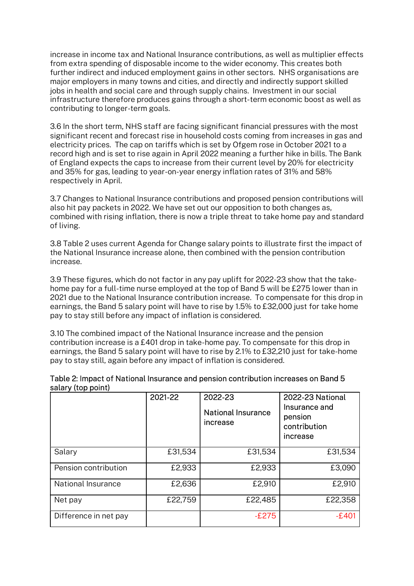increase in income tax and National Insurance contributions, as well as multiplier effects from extra spending of disposable income to the wider economy. This creates both further indirect and induced employment gains in other sectors. NHS organisations are major employers in many towns and cities, and directly and indirectly support skilled jobs in health and social care and through supply chains. Investment in our social infrastructure therefore produces gains through a short-term economic boost as well as contributing to longer-term goals.

3.6 In the short term, NHS staff are facing significant financial pressures with the most significant recent and forecast rise in household costs coming from increases in gas and electricity prices. The cap on tariffs which is set by Ofgem rose in October 2021 to a record high and is set to rise again in April 2022 meaning a further hike in bills. The Bank of England expects the caps to increase from their current level by 20% for electricity and 35% for gas, leading to year-on-year energy inflation rates of 31% and 58% respectively in April.

3.7 Changes to National Insurance contributions and proposed pension contributions will also hit pay packets in 2022. We have set out our opposition to both changes as, combined with rising inflation, there is now a triple threat to take home pay and standard of living.

3.8 Table 2 uses current Agenda for Change salary points to illustrate first the impact of the National Insurance increase alone, then combined with the pension contribution increase.

3.9 These figures, which do not factor in any pay uplift for 2022-23 show that the takehome pay for a full-time nurse employed at the top of Band 5 will be £275 lower than in 2021 due to the National Insurance contribution increase. To compensate for this drop in earnings, the Band 5 salary point will have to rise by 1.5% to £32,000 just for take home pay to stay still before any impact of inflation is considered.

3.10 The combined impact of the National Insurance increase and the pension contribution increase is a £401 drop in take-home pay. To compensate for this drop in earnings, the Band 5 salary point will have to rise by 2.1% to £32,210 just for take-home pay to stay still, again before any impact of inflation is considered.

|                       | 2021-22 | 2022-23<br><b>National Insurance</b><br>increase | 2022-23 National<br>Insurance and<br>pension<br>contribution<br>increase |
|-----------------------|---------|--------------------------------------------------|--------------------------------------------------------------------------|
| Salary                | £31,534 | £31,534                                          | £31,534                                                                  |
| Pension contribution  | £2,933  | £2,933                                           | £3,090                                                                   |
| National Insurance    | £2,636  | £2,910                                           | £2,910                                                                   |
| Net pay               | £22,759 | £22,485                                          | £22,358                                                                  |
| Difference in net pay |         | $-E275$                                          | $-E401$                                                                  |

#### Table 2: Impact of National Insurance and pension contribution increases on Band 5 salary (top point)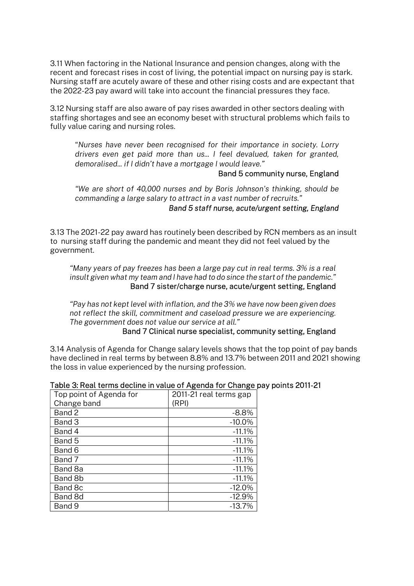3.11 When factoring in the National Insurance and pension changes, along with the recent and forecast rises in cost of living, the potential impact on nursing pay is stark. Nursing staff are acutely aware of these and other rising costs and are expectant that the 2022-23 pay award will take into account the financial pressures they face.

3.12 Nursing staff are also aware of pay rises awarded in other sectors dealing with staffing shortages and see an economy beset with structural problems which fails to fully value caring and nursing roles.

"Nurses have never been recognised for their importance in society. Lorry drivers even get paid more than us... I feel devalued, taken for granted, demoralised... if I didn't have a mortgage I would leave."

#### Band 5 community nurse, England

"We are short of 40,000 nurses and by Boris Johnson's thinking, should be commanding a large salary to attract in a vast number of recruits."

#### Band 5 staff nurse, acute/urgent setting, England

3.13 The 2021-22 pay award has routinely been described by RCN members as an insult to nursing staff during the pandemic and meant they did not feel valued by the government.

"Many years of pay freezes has been a large pay cut in real terms. 3% is a real insult given what my team and I have had to do since the start of the pandemic." Band 7 sister/charge nurse, acute/urgent setting, England

"Pay has not kept level with inflation, and the 3% we have now been given does not reflect the skill, commitment and caseload pressure we are experiencing. The government does not value our service at all."

## Band 7 Clinical nurse specialist, community setting, England

3.14 Analysis of Agenda for Change salary levels shows that the top point of pay bands have declined in real terms by between 8.8% and 13.7% between 2011 and 2021 showing the loss in value experienced by the nursing profession.

|                         | - - - - - - -          |
|-------------------------|------------------------|
| Top point of Agenda for | 2011-21 real terms gap |
| Change band             | (RPI)                  |
| Band 2                  | $-8.8%$                |
| Band 3                  | $-10.0\%$              |
| Band 4                  | $-11.1%$               |
| Band 5                  | $-11.1%$               |
| Band 6                  | $-11.1%$               |
| Band 7                  | $-11.1%$               |
| Band 8a                 | $-11.1%$               |
| Band 8b                 | $-11.1%$               |
| Band 8c                 | $-12.0%$               |
| Band 8d                 | $-12.9%$               |
| Band 9                  | $-13.7%$               |

#### Table 3: Real terms decline in value of Agenda for Change pay points 2011-21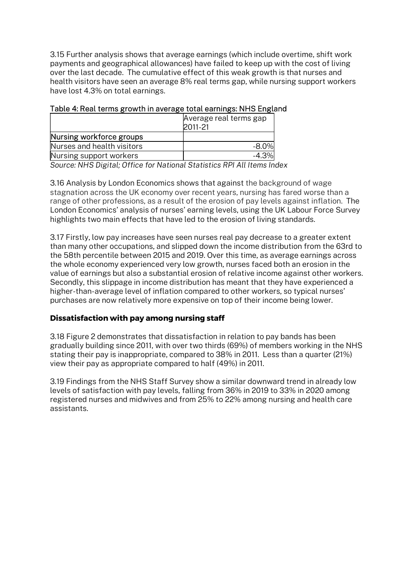3.15 Further analysis shows that average earnings (which include overtime, shift work payments and geographical allowances) have failed to keep up with the cost of living over the last decade. The cumulative effect of this weak growth is that nurses and health visitors have seen an average 8% real terms gap, while nursing support workers have lost 4.3% on total earnings.

|                            | Average real terms gap<br>2011-21 |  |
|----------------------------|-----------------------------------|--|
| Nursing workforce groups   |                                   |  |
| Nurses and health visitors | $-8.0\%$                          |  |
| Nursing support workers    | $-4.3\%$                          |  |

## Table 4: Real terms growth in average total earnings: NHS England

Source: NHS Digital; Office for National Statistics RPI All Items Index

3.16 Analysis by London Economics shows that against the background of wage stagnation across the UK economy over recent years, nursing has fared worse than a range of other professions, as a result of the erosion of pay levels against inflation. The London Economics' analysis of nurses' earning levels, using the UK Labour Force Survey highlights two main effects that have led to the erosion of living standards.

3.17 Firstly, low pay increases have seen nurses real pay decrease to a greater extent than many other occupations, and slipped down the income distribution from the 63rd to the 58th percentile between 2015 and 2019. Over this time, as average earnings across the whole economy experienced very low growth, nurses faced both an erosion in the value of earnings but also a substantial erosion of relative income against other workers. Secondly, this slippage in income distribution has meant that they have experienced a higher-than-average level of inflation compared to other workers, so typical nurses' purchases are now relatively more expensive on top of their income being lower.

# Dissatisfaction with pay among nursing staff

3.18 Figure 2 demonstrates that dissatisfaction in relation to pay bands has been gradually building since 2011, with over two thirds (69%) of members working in the NHS stating their pay is inappropriate, compared to 38% in 2011. Less than a quarter (21%) view their pay as appropriate compared to half (49%) in 2011.

3.19 Findings from the NHS Staff Survey show a similar downward trend in already low levels of satisfaction with pay levels, falling from 36% in 2019 to 33% in 2020 among registered nurses and midwives and from 25% to 22% among nursing and health care assistants.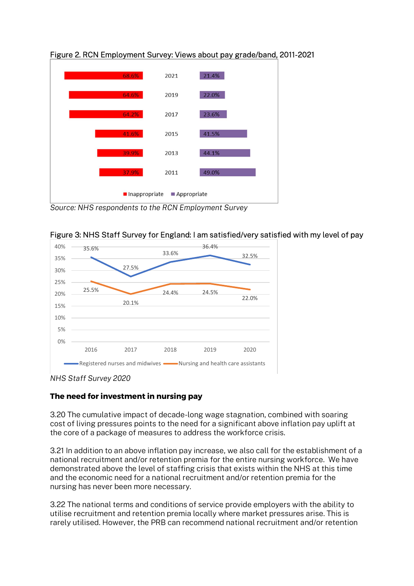

Figure 2. RCN Employment Survey: Views about pay grade/band, 2011-2021

Source: NHS respondents to the RCN Employment Survey





NHS Staff Survey 2020

# The need for investment in nursing pay

3.20 The cumulative impact of decade-long wage stagnation, combined with soaring cost of living pressures points to the need for a significant above inflation pay uplift at the core of a package of measures to address the workforce crisis.

3.21 In addition to an above inflation pay increase, we also call for the establishment of a national recruitment and/or retention premia for the entire nursing workforce. We have demonstrated above the level of staffing crisis that exists within the NHS at this time and the economic need for a national recruitment and/or retention premia for the nursing has never been more necessary.

3.22 The national terms and conditions of service provide employers with the ability to utilise recruitment and retention premia locally where market pressures arise. This is rarely utilised. However, the PRB can recommend national recruitment and/or retention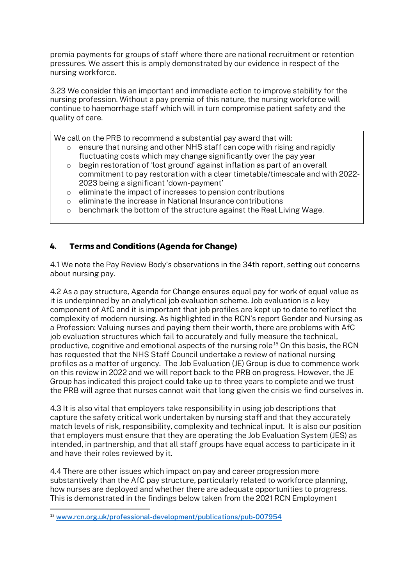premia payments for groups of staff where there are national recruitment or retention pressures. We assert this is amply demonstrated by our evidence in respect of the nursing workforce.

3.23 We consider this an important and immediate action to improve stability for the nursing profession. Without a pay premia of this nature, the nursing workforce will continue to haemorrhage staff which will in turn compromise patient safety and the quality of care.

We call on the PRB to recommend a substantial pay award that will:

- o ensure that nursing and other NHS staff can cope with rising and rapidly fluctuating costs which may change significantly over the pay year
- $\circ$  begin restoration of 'lost ground' against inflation as part of an overall commitment to pay restoration with a clear timetable/timescale and with 2022- 2023 being a significant 'down-payment'
- o eliminate the impact of increases to pension contributions
- o eliminate the increase in National Insurance contributions
- o benchmark the bottom of the structure against the Real Living Wage.

# 4. Terms and Conditions (Agenda for Change)

4.1 We note the Pay Review Body's observations in the 34th report, setting out concerns about nursing pay.

4.2 As a pay structure, Agenda for Change ensures equal pay for work of equal value as it is underpinned by an analytical job evaluation scheme. Job evaluation is a key component of AfC and it is important that job profiles are kept up to date to reflect the complexity of modern nursing. As highlighted in the RCN's report Gender and Nursing as a Profession: Valuing nurses and paying them their worth, there are problems with AfC job evaluation structures which fail to accurately and fully measure the technical, productive, cognitive and emotional aspects of the nursing role.15 On this basis, the RCN has requested that the NHS Staff Council undertake a review of national nursing profiles as a matter of urgency. The Job Evaluation (JE) Group is due to commence work on this review in 2022 and we will report back to the PRB on progress. However, the JE Group has indicated this project could take up to three years to complete and we trust the PRB will agree that nurses cannot wait that long given the crisis we find ourselves in.

4.3 It is also vital that employers take responsibility in using job descriptions that capture the safety critical work undertaken by nursing staff and that they accurately match levels of risk, responsibility, complexity and technical input. It is also our position that employers must ensure that they are operating the Job Evaluation System (JES) as intended, in partnership, and that all staff groups have equal access to participate in it and have their roles reviewed by it.

4.4 There are other issues which impact on pay and career progression more substantively than the AfC pay structure, particularly related to workforce planning, how nurses are deployed and whether there are adequate opportunities to progress. This is demonstrated in the findings below taken from the 2021 RCN Employment

<sup>15</sup> www.rcn.org.uk/professional-development/publications/pub-007954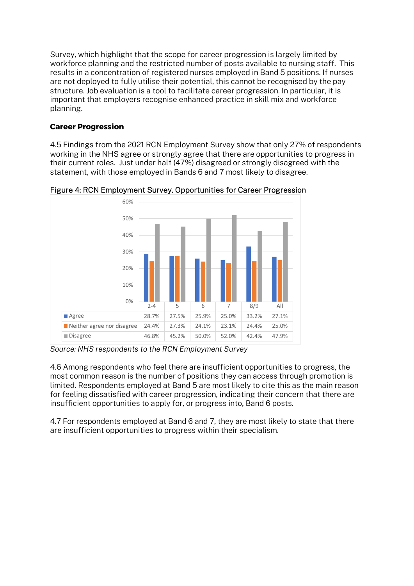Survey, which highlight that the scope for career progression is largely limited by workforce planning and the restricted number of posts available to nursing staff. This results in a concentration of registered nurses employed in Band 5 positions. If nurses are not deployed to fully utilise their potential, this cannot be recognised by the pay structure. Job evaluation is a tool to facilitate career progression. In particular, it is important that employers recognise enhanced practice in skill mix and workforce planning.

# Career Progression

4.5 Findings from the 2021 RCN Employment Survey show that only 27% of respondents working in the NHS agree or strongly agree that there are opportunities to progress in their current roles. Just under half (47%) disagreed or strongly disagreed with the statement, with those employed in Bands 6 and 7 most likely to disagree.



Figure 4: RCN Employment Survey. Opportunities for Career Progression

Source: NHS respondents to the RCN Employment Survey

4.6 Among respondents who feel there are insufficient opportunities to progress, the most common reason is the number of positions they can access through promotion is limited. Respondents employed at Band 5 are most likely to cite this as the main reason for feeling dissatisfied with career progression, indicating their concern that there are insufficient opportunities to apply for, or progress into, Band 6 posts.

4.7 For respondents employed at Band 6 and 7, they are most likely to state that there are insufficient opportunities to progress within their specialism.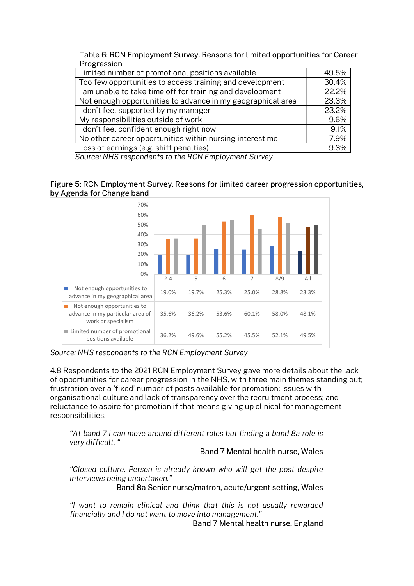| Table 6: RCN Employment Survey. Reasons for limited opportunities for Career |  |
|------------------------------------------------------------------------------|--|
| Progression                                                                  |  |

| Limited number of promotional positions available           | 49.5% |
|-------------------------------------------------------------|-------|
| Too few opportunities to access training and development    | 30.4% |
| I am unable to take time off for training and development   | 22.2% |
| Not enough opportunities to advance in my geographical area | 23.3% |
| I don't feel supported by my manager                        | 23.2% |
| My responsibilities outside of work                         | 9.6%  |
| I don't feel confident enough right now                     | 9.1%  |
| No other career opportunities within nursing interest me    | 7.9%  |
| Loss of earnings (e.g. shift penalties)                     | 9.3%  |

Source: NHS respondents to the RCN Employment Survey

#### Figure 5: RCN Employment Survey. Reasons for limited career progression opportunities, by Agenda for Change band



Source: NHS respondents to the RCN Employment Survey

4.8 Respondents to the 2021 RCN Employment Survey gave more details about the lack of opportunities for career progression in the NHS, with three main themes standing out; frustration over a 'fixed' number of posts available for promotion; issues with organisational culture and lack of transparency over the recruitment process; and reluctance to aspire for promotion if that means giving up clinical for management responsibilities.

"At band 7 I can move around different roles but finding a band 8a role is very difficult. "

# Band 7 Mental health nurse, Wales

"Closed culture. Person is already known who will get the post despite interviews being undertaken."

# Band 8a Senior nurse/matron, acute/urgent setting, Wales

"I want to remain clinical and think that this is not usually rewarded financially and I do not want to move into management."

Band 7 Mental health nurse, England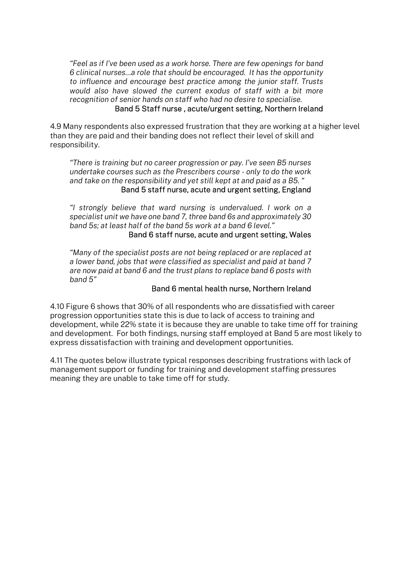"Feel as if I've been used as a work horse. There are few openings for band 6 clinical nurses…a role that should be encouraged. It has the opportunity to influence and encourage best practice among the junior staff. Trusts would also have slowed the current exodus of staff with a bit more recognition of senior hands on staff who had no desire to specialise.

#### Band 5 Staff nurse , acute/urgent setting, Northern Ireland

4.9 Many respondents also expressed frustration that they are working at a higher level than they are paid and their banding does not reflect their level of skill and responsibility.

"There is training but no career progression or pay. I've seen B5 nurses undertake courses such as the Prescribers course - only to do the work and take on the responsibility and yet still kept at and paid as a B5. " Band 5 staff nurse, acute and urgent setting, England

"I strongly believe that ward nursing is undervalued. I work on a specialist unit we have one band 7, three band 6s and approximately 30 band 5s; at least half of the band 5s work at a band 6 level."

#### Band 6 staff nurse, acute and urgent setting, Wales

"Many of the specialist posts are not being replaced or are replaced at a lower band, jobs that were classified as specialist and paid at band 7 are now paid at band 6 and the trust plans to replace band 6 posts with band 5"

## Band 6 mental health nurse, Northern Ireland

4.10 Figure 6 shows that 30% of all respondents who are dissatisfied with career progression opportunities state this is due to lack of access to training and development, while 22% state it is because they are unable to take time off for training and development. For both findings, nursing staff employed at Band 5 are most likely to express dissatisfaction with training and development opportunities.

4.11 The quotes below illustrate typical responses describing frustrations with lack of management support or funding for training and development staffing pressures meaning they are unable to take time off for study.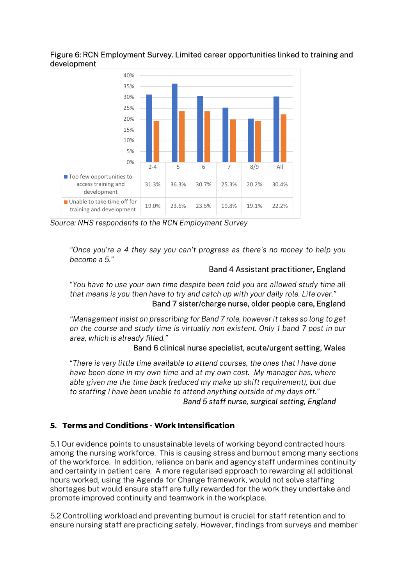# Figure 6: RCN Employment Survey. Limited career opportunities linked to training and development



Source: NHS respondents to the RCN Employment Survey

"Once you're a 4 they say you can't progress as there's no money to help you become a 5."

# Band 4 Assistant practitioner, England

"You have to use your own time despite been told you are allowed study time all that means is you then have to try and catch up with your daily role. Life over."

# Band 7 sister/charge nurse, older people care, England

"Management insist on prescribing for Band 7 role, however it takes so long to get on the course and study time is virtually non existent. Only 1 band 7 post in our area, which is already filled."

# Band 6 clinical nurse specialist, acute/urgent setting, Wales

"There is very little time available to attend courses, the ones that I have done have been done in my own time and at my own cost. My manager has, where able given me the time back (reduced my make up shift requirement), but due to staffing I have been unable to attend anything outside of my days off."

# Band 5 staff nurse, surgical setting, England

# 5. Terms and Conditions - Work Intensification

5.1 Our evidence points to unsustainable levels of working beyond contracted hours among the nursing workforce. This is causing stress and burnout among many sections of the workforce. In addition, reliance on bank and agency staff undermines continuity and certainty in patient care. A more regularised approach to rewarding all additional hours worked, using the Agenda for Change framework, would not solve staffing shortages but would ensure staff are fully rewarded for the work they undertake and promote improved continuity and teamwork in the workplace.

5.2 Controlling workload and preventing burnout is crucial for staff retention and to ensure nursing staff are practicing safely. However, findings from surveys and member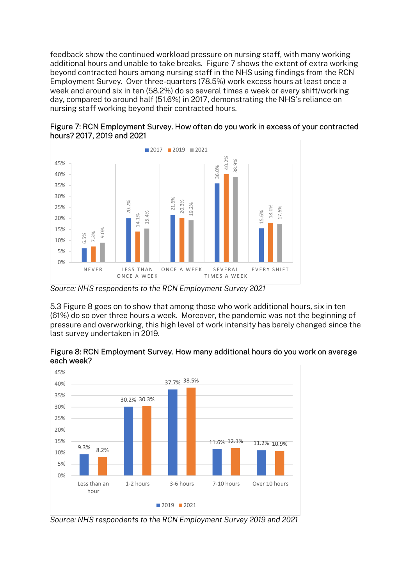feedback show the continued workload pressure on nursing staff, with many working additional hours and unable to take breaks. Figure 7 shows the extent of extra working beyond contracted hours among nursing staff in the NHS using findings from the RCN Employment Survey. Over three-quarters (78.5%) work excess hours at least once a week and around six in ten (58.2%) do so several times a week or every shift/working day, compared to around half (51.6%) in 2017, demonstrating the NHS's reliance on nursing staff working beyond their contracted hours.



Figure 7: RCN Employment Survey. How often do you work in excess of your contracted hours? 2017, 2019 and 2021

5.3 Figure 8 goes on to show that among those who work additional hours, six in ten (61%) do so over three hours a week. Moreover, the pandemic was not the beginning of pressure and overworking, this high level of work intensity has barely changed since the last survey undertaken in 2019.



Figure 8: RCN Employment Survey. How many additional hours do you work on average each week?

Source: NHS respondents to the RCN Employment Survey 2021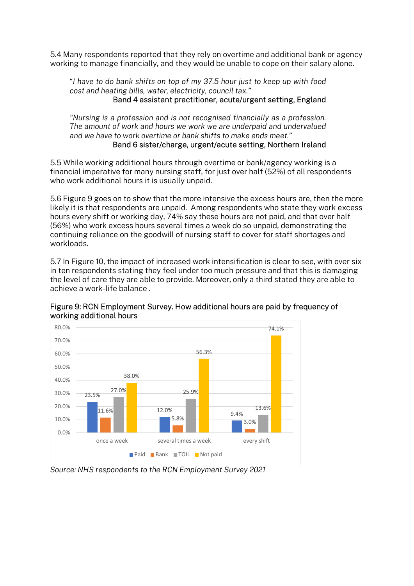5.4 Many respondents reported that they rely on overtime and additional bank or agency working to manage financially, and they would be unable to cope on their salary alone.

"I have to do bank shifts on top of my 37.5 hour just to keep up with food cost and heating bills, water, electricity, council tax." Band 4 assistant practitioner, acute/urgent setting, England

"Nursing is a profession and is not recognised financially as a profession. The amount of work and hours we work we are underpaid and undervalued and we have to work overtime or bank shifts to make ends meet."

### Band 6 sister/charge, urgent/acute setting, Northern Ireland

5.5 While working additional hours through overtime or bank/agency working is a financial imperative for many nursing staff, for just over half (52%) of all respondents who work additional hours it is usually unpaid.

5.6 Figure 9 goes on to show that the more intensive the excess hours are, then the more likely it is that respondents are unpaid. Among respondents who state they work excess hours every shift or working day, 74% say these hours are not paid, and that over half (56%) who work excess hours several times a week do so unpaid, demonstrating the continuing reliance on the goodwill of nursing staff to cover for staff shortages and workloads.

5.7 In Figure 10, the impact of increased work intensification is clear to see, with over six in ten respondents stating they feel under too much pressure and that this is damaging the level of care they are able to provide. Moreover, only a third stated they are able to achieve a work-life balance .



Figure 9: RCN Employment Survey. How additional hours are paid by frequency of working additional hours

Source: NHS respondents to the RCN Employment Survey 2021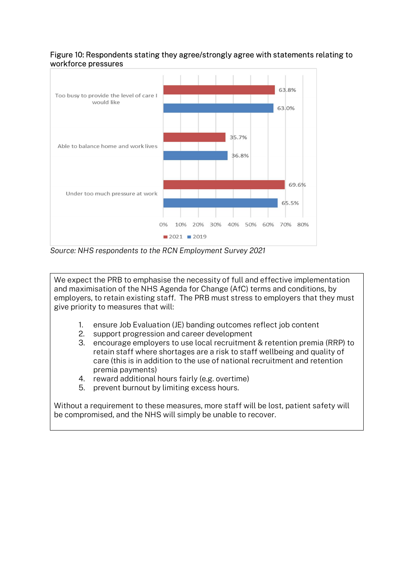# Figure 10: Respondents stating they agree/strongly agree with statements relating to workforce pressures



Source: NHS respondents to the RCN Employment Survey 2021

We expect the PRB to emphasise the necessity of full and effective implementation and maximisation of the NHS Agenda for Change (AfC) terms and conditions, by employers, to retain existing staff. The PRB must stress to employers that they must give priority to measures that will:

- 1. ensure Job Evaluation (JE) banding outcomes reflect job content
- 2. support progression and career development
- 3. encourage employers to use local recruitment & retention premia (RRP) to retain staff where shortages are a risk to staff wellbeing and quality of care (this is in addition to the use of national recruitment and retention premia payments)
- 4. reward additional hours fairly (e.g. overtime)
- 5. prevent burnout by limiting excess hours.

Without a requirement to these measures, more staff will be lost, patient safety will be compromised, and the NHS will simply be unable to recover.